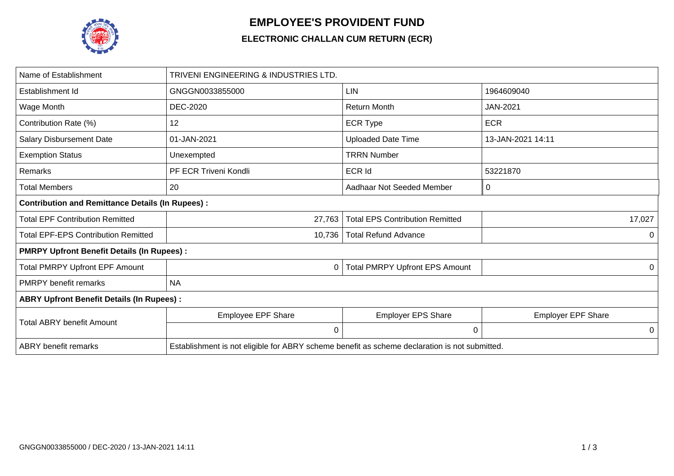

## **EMPLOYEE'S PROVIDENT FUND**

## **ELECTRONIC CHALLAN CUM RETURN (ECR)**

| Name of Establishment                                   | TRIVENI ENGINEERING & INDUSTRIES LTD.                                                         |                                        |                           |  |  |  |  |
|---------------------------------------------------------|-----------------------------------------------------------------------------------------------|----------------------------------------|---------------------------|--|--|--|--|
| Establishment Id                                        | GNGGN0033855000                                                                               | <b>LIN</b>                             | 1964609040                |  |  |  |  |
| Wage Month                                              | <b>DEC-2020</b>                                                                               | <b>Return Month</b>                    | <b>JAN-2021</b>           |  |  |  |  |
| Contribution Rate (%)                                   | 12                                                                                            | <b>ECR Type</b>                        | <b>ECR</b>                |  |  |  |  |
| <b>Salary Disbursement Date</b>                         | 01-JAN-2021                                                                                   | <b>Uploaded Date Time</b>              | 13-JAN-2021 14:11         |  |  |  |  |
| <b>Exemption Status</b>                                 | Unexempted                                                                                    | <b>TRRN Number</b>                     |                           |  |  |  |  |
| Remarks                                                 | PF ECR Triveni Kondli                                                                         | <b>ECR Id</b>                          | 53221870                  |  |  |  |  |
| <b>Total Members</b>                                    | 20                                                                                            | Aadhaar Not Seeded Member              | 0                         |  |  |  |  |
| <b>Contribution and Remittance Details (In Rupees):</b> |                                                                                               |                                        |                           |  |  |  |  |
| <b>Total EPF Contribution Remitted</b>                  | 27,763                                                                                        | <b>Total EPS Contribution Remitted</b> | 17,027                    |  |  |  |  |
| <b>Total EPF-EPS Contribution Remitted</b>              | 10,736                                                                                        | <b>Total Refund Advance</b>            | 0                         |  |  |  |  |
| <b>PMRPY Upfront Benefit Details (In Rupees):</b>       |                                                                                               |                                        |                           |  |  |  |  |
| <b>Total PMRPY Upfront EPF Amount</b>                   | 0                                                                                             | <b>Total PMRPY Upfront EPS Amount</b>  | 0                         |  |  |  |  |
| <b>PMRPY benefit remarks</b>                            | <b>NA</b>                                                                                     |                                        |                           |  |  |  |  |
| <b>ABRY Upfront Benefit Details (In Rupees):</b>        |                                                                                               |                                        |                           |  |  |  |  |
| <b>Total ABRY benefit Amount</b>                        | Employee EPF Share                                                                            | <b>Employer EPS Share</b>              | <b>Employer EPF Share</b> |  |  |  |  |
|                                                         | 0                                                                                             | 0                                      | 0                         |  |  |  |  |
| <b>ABRY</b> benefit remarks                             | Establishment is not eligible for ABRY scheme benefit as scheme declaration is not submitted. |                                        |                           |  |  |  |  |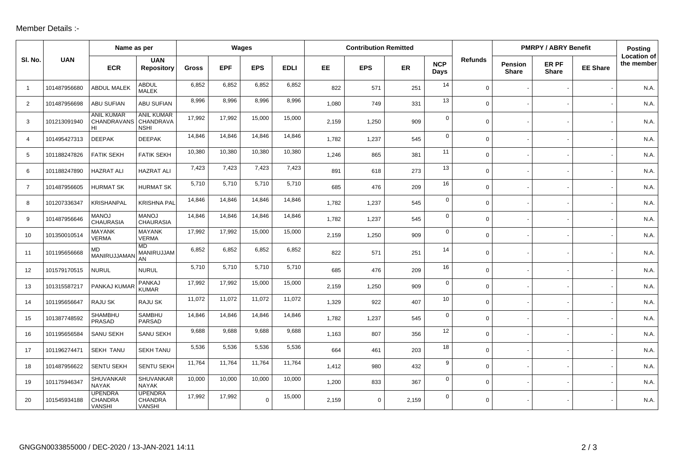## Member Details :-

|                |              | Name as per                                       |                                            | Wages        |            |             | <b>Contribution Remitted</b> |       |             |           |                    | <b>PMRPY / ABRY Benefit</b> |                                |                       | Posting         |                                  |
|----------------|--------------|---------------------------------------------------|--------------------------------------------|--------------|------------|-------------|------------------------------|-------|-------------|-----------|--------------------|-----------------------------|--------------------------------|-----------------------|-----------------|----------------------------------|
| SI. No.        | <b>UAN</b>   | <b>ECR</b>                                        | <b>UAN</b><br><b>Repository</b>            | <b>Gross</b> | <b>EPF</b> | <b>EPS</b>  | <b>EDLI</b>                  | EE.   | <b>EPS</b>  | <b>ER</b> | <b>NCP</b><br>Days | <b>Refunds</b>              | <b>Pension</b><br><b>Share</b> | ER PF<br><b>Share</b> | <b>EE Share</b> | <b>Location of</b><br>the member |
| $\overline{1}$ | 101487956680 | <b>ABDUL MALEK</b>                                | <b>ABDUL</b><br><b>MALEK</b>               | 6,852        | 6,852      | 6,852       | 6,852                        | 822   | 571         | 251       | 14                 | $\mathbf 0$                 |                                |                       |                 | N.A.                             |
| $\overline{2}$ | 101487956698 | <b>ABU SUFIAN</b>                                 | <b>ABU SUFIAN</b>                          | 8,996        | 8,996      | 8,996       | 8,996                        | 1.080 | 749         | 331       | 13                 | $\overline{0}$              |                                |                       |                 | N.A.                             |
| 3              | 101213091940 | <b>ANIL KUMAR</b><br>CHANDRAVANS CHANDRAVA<br>HI  | <b>ANIL KUMAR</b><br><b>NSHI</b>           | 17,992       | 17,992     | 15,000      | 15,000                       | 2,159 | 1,250       | 909       | 0                  | $\mathbf 0$                 |                                |                       |                 | N.A.                             |
| $\overline{4}$ | 101495427313 | <b>DEEPAK</b>                                     | <b>DEEPAK</b>                              | 14,846       | 14,846     | 14,846      | 14,846                       | 1,782 | 1,237       | 545       | $\mathbf 0$        | $\mathbf 0$                 |                                |                       |                 | N.A.                             |
| 5              | 101188247826 | <b>FATIK SEKH</b>                                 | <b>FATIK SEKH</b>                          | 10,380       | 10,380     | 10,380      | 10,380                       | 1,246 | 865         | 381       | 11                 | $\mathbf 0$                 |                                |                       |                 | N.A.                             |
| 6              | 101188247890 | <b>HAZRAT ALI</b>                                 | <b>HAZRAT ALI</b>                          | 7,423        | 7,423      | 7,423       | 7,423                        | 891   | 618         | 273       | 13                 | $\mathbf 0$                 |                                |                       |                 | N.A.                             |
| $\overline{7}$ | 101487956605 | <b>HURMAT SK</b>                                  | <b>HURMAT SK</b>                           | 5,710        | 5,710      | 5,710       | 5,710                        | 685   | 476         | 209       | 16                 | $\mathbf 0$                 |                                |                       |                 | N.A.                             |
| 8              | 101207336347 | KRISHANPAL                                        | <b>KRISHNA PAL</b>                         | 14,846       | 14,846     | 14,846      | 14,846                       | 1,782 | 1,237       | 545       | $\mathbf 0$        | $\mathbf 0$                 |                                |                       |                 | N.A.                             |
| 9              | 101487956646 | <b>MANOJ</b><br><b>CHAURASIA</b>                  | <b>MANOJ</b><br><b>CHAURASIA</b>           | 14,846       | 14,846     | 14,846      | 14,846                       | 1.782 | 1,237       | 545       | $\mathbf 0$        | $\mathbf 0$                 |                                |                       |                 | N.A.                             |
| 10             | 101350010514 | <b>MAYANK</b><br><b>VERMA</b>                     | <b>MAYANK</b><br><b>VERMA</b>              | 17,992       | 17,992     | 15,000      | 15,000                       | 2,159 | 1,250       | 909       | 0                  | $\mathbf 0$                 |                                |                       |                 | N.A.                             |
| 11             | 101195656668 | <b>MD</b><br>MANIRUJJAMAI                         | <b>MD</b><br>MANIRUJJAM<br>AN              | 6,852        | 6,852      | 6,852       | 6,852                        | 822   | 571         | 251       | 14                 | $\mathbf 0$                 |                                |                       |                 | N.A.                             |
| 12             | 101579170515 | <b>NURUL</b>                                      | <b>NURUL</b>                               | 5,710        | 5,710      | 5,710       | 5,710                        | 685   | 476         | 209       | 16                 | $\mathbf 0$                 |                                |                       |                 | N.A.                             |
| 13             | 101315587217 | PANKAJ KUMAR                                      | PANKAJ<br><b>KUMAR</b>                     | 17,992       | 17,992     | 15,000      | 15,000                       | 2.159 | 1,250       | 909       | $\mathbf 0$        | $\mathbf 0$                 |                                |                       |                 | N.A.                             |
| 14             | 101195656647 | RAJU SK                                           | RAJU SK                                    | 11,072       | 11,072     | 11,072      | 11,072                       | 1,329 | 922         | 407       | 10                 | $\mathbf 0$                 |                                |                       |                 | N.A.                             |
| 15             | 101387748592 | SHAMBHU<br>PRASAD                                 | SAMBHU<br>PARSAD                           | 14,846       | 14,846     | 14,846      | 14,846                       | 1,782 | 1,237       | 545       | $\mathbf 0$        | $\mathbf 0$                 |                                |                       |                 | N.A.                             |
| 16             | 101195656584 | <b>SANU SEKH</b>                                  | <b>SANU SEKH</b>                           | 9,688        | 9,688      | 9,688       | 9,688                        | 1,163 | 807         | 356       | 12                 | $\mathbf 0$                 |                                |                       |                 | N.A.                             |
| 17             | 101196274471 | <b>SEKH TANU</b>                                  | <b>SEKH TANU</b>                           | 5,536        | 5,536      | 5,536       | 5,536                        | 664   | 461         | 203       | 18                 | $\mathsf{O}$                |                                |                       |                 | N.A.                             |
| 18             | 101487956622 | <b>SENTU SEKH</b>                                 | <b>SENTU SEKH</b>                          | 11,764       | 11,764     | 11,764      | 11,764                       | 1.412 | 980         | 432       | 9                  | $\mathbf 0$                 |                                |                       |                 | N.A.                             |
| 19             | 101175946347 | SHUVANKAR<br><b>NAYAK</b>                         | SHUVANKAR<br><b>NAYAK</b>                  | 10,000       | 10,000     | 10,000      | 10,000                       | 1,200 | 833         | 367       | 0                  | $\mathbf 0$                 |                                |                       |                 | N.A.                             |
| 20             | 101545934188 | <b>UPENDRA</b><br><b>CHANDRA</b><br><b>VANSHI</b> | <b>UPENDRA</b><br>CHANDRA<br><b>VANSHI</b> | 17,992       | 17,992     | $\mathbf 0$ | 15,000                       | 2,159 | $\mathbf 0$ | 2,159     | $\Omega$           | 0                           |                                |                       |                 | N.A.                             |